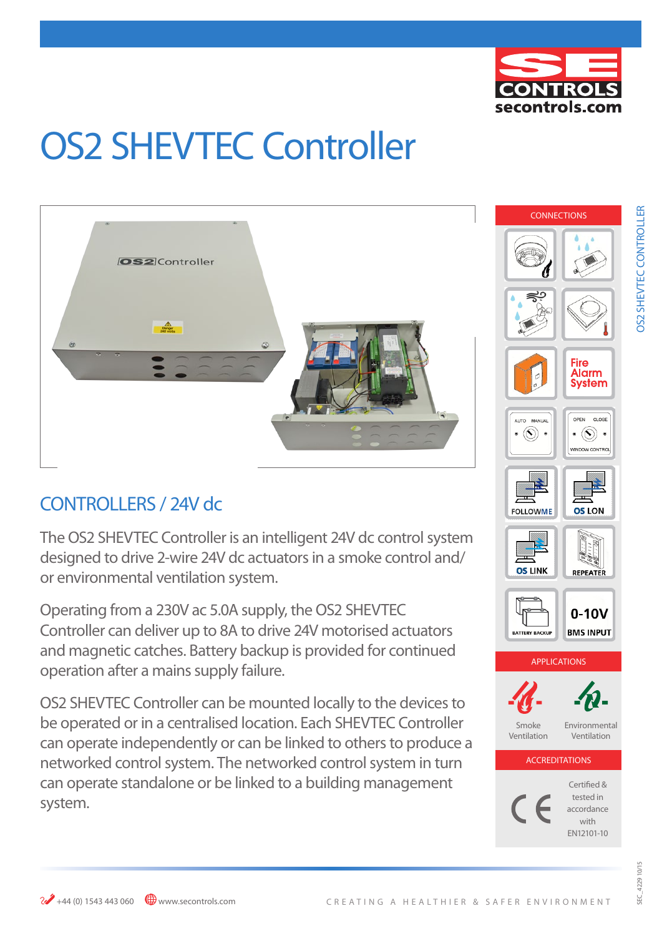

# OS2 SHEVTEC Controller



## CONTROLLERS / 24V dc

The OS2 SHEVTEC Controller is an intelligent 24V dc control system designed to drive 2-wire 24V dc actuators in a smoke control and/ or environmental ventilation system.

Operating from a 230V ac 5.0A supply, the OS2 SHEVTEC Controller can deliver up to 8A to drive 24V motorised actuators and magnetic catches. Battery backup is provided for continued operation after a mains supply failure.

OS2 SHEVTEC Controller can be mounted locally to the devices to be operated or in a centralised location. Each SHEVTEC Controller can operate independently or can be linked to others to produce a networked control system. The networked control system in turn can operate standalone or be linked to a building management system.